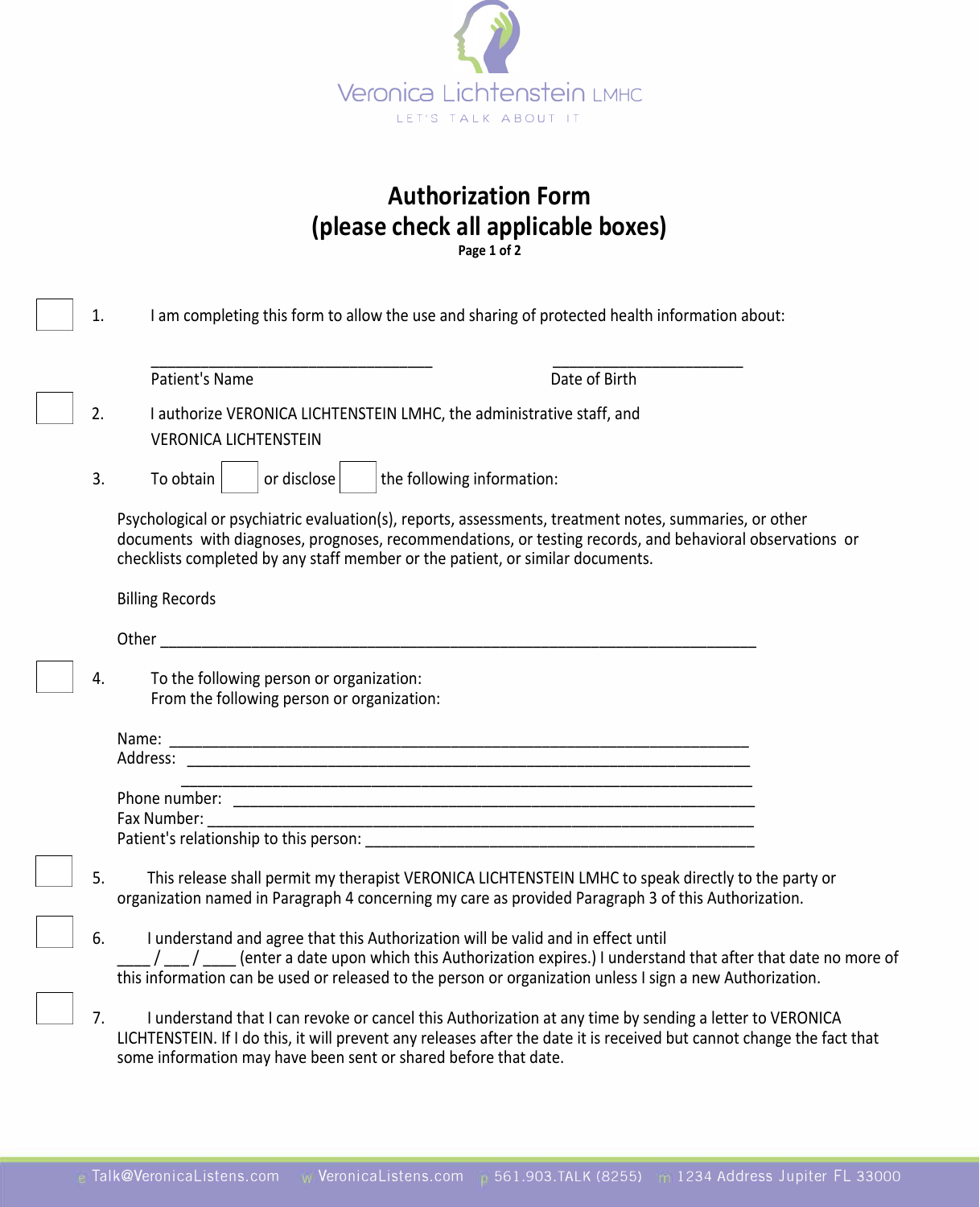

## **Authorization Form (please check all applicable boxes) Page 1 of 2**

| 1. | I am completing this form to allow the use and sharing of protected health information about:                                                                                                                                                                                                        |
|----|------------------------------------------------------------------------------------------------------------------------------------------------------------------------------------------------------------------------------------------------------------------------------------------------------|
|    |                                                                                                                                                                                                                                                                                                      |
|    | Patient's Name<br>Date of Birth                                                                                                                                                                                                                                                                      |
| 2. | I authorize VERONICA LICHTENSTEIN LMHC, the administrative staff, and<br><b>VERONICA LICHTENSTEIN</b>                                                                                                                                                                                                |
| 3. | the following information:<br>To obtain<br>or disclose                                                                                                                                                                                                                                               |
|    | Psychological or psychiatric evaluation(s), reports, assessments, treatment notes, summaries, or other<br>documents with diagnoses, prognoses, recommendations, or testing records, and behavioral observations or<br>checklists completed by any staff member or the patient, or similar documents. |
|    | <b>Billing Records</b>                                                                                                                                                                                                                                                                               |
|    | Other                                                                                                                                                                                                                                                                                                |
| 4. | To the following person or organization:<br>From the following person or organization:                                                                                                                                                                                                               |
|    | Address:                                                                                                                                                                                                                                                                                             |
|    | Phone number:<br><u> 2000 - 2000 - 2000 - 2000 - 2000 - 2000 - 2000 - 2000 - 2000 - 2000 - 2000 - 2000 - 2000 - 2000 - 2000 - 200</u>                                                                                                                                                                |
|    | Fax Number:                                                                                                                                                                                                                                                                                          |
| 5. | This release shall permit my therapist VERONICA LICHTENSTEIN LMHC to speak directly to the party or<br>organization named in Paragraph 4 concerning my care as provided Paragraph 3 of this Authorization.                                                                                           |
| 6. | I understand and agree that this Authorization will be valid and in effect until<br>(enter a date upon which this Authorization expires.) I understand that after that date no more of<br>this information can be used or released to the person or organization unless I sign a new Authorization.  |
| 7. | I understand that I can revoke or cancel this Authorization at any time by sending a letter to VERONICA<br>LICHTENSTEIN. If I do this, it will prevent any releases after the date it is received but cannot change the fact that<br>some information may have been sent or shared before that date. |